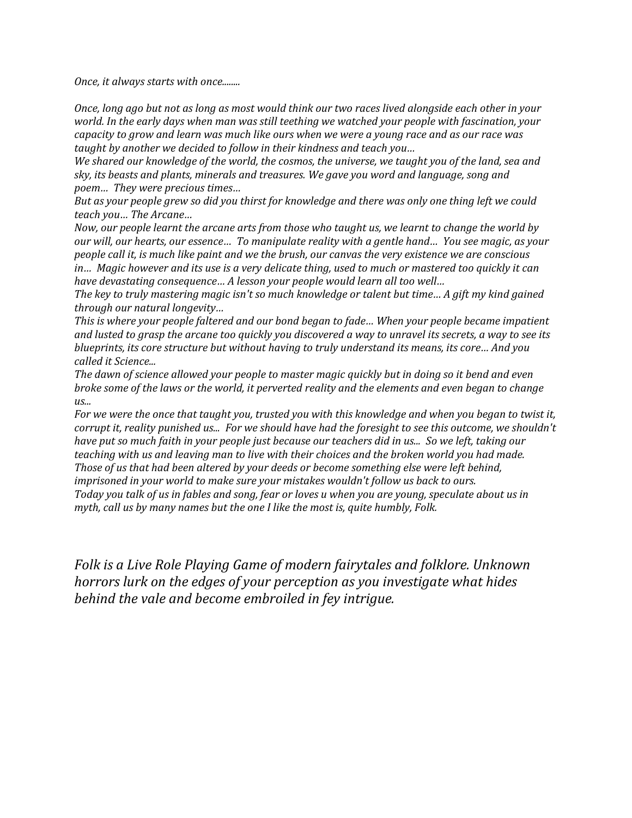*Once, it always starts with once........*

*Once, long ago but not as long as most would think our two races lived alongside each other in your world. In the early days when man was still teething we watched your people with fascination, your capacity to grow and learn was much like ours when we were a young race and as our race was taught by another we decided to follow in their kindness and teach you…* 

*We shared our knowledge of the world, the cosmos, the universe, we taught you of the land, sea and sky, its beasts and plants, minerals and treasures. We gave you word and language, song and poem… They were precious times…* 

*But as your people grew so did you thirst for knowledge and there was only one thing left we could teach you… The Arcane…* 

*Now, our people learnt the arcane arts from those who taught us, we learnt to change the world by our will, our hearts, our essence… To manipulate reality with a gentle hand… You see magic, as your people call it, is much like paint and we the brush, our canvas the very existence we are conscious in… Magic however and its use is a very delicate thing, used to much or mastered too quickly it can have devastating consequence… A lesson your people would learn all too well…*

*The key to truly mastering magic isn't so much knowledge or talent but time… A gift my kind gained through our natural longevity…* 

*This is where your people faltered and our bond began to fade… When your people became impatient and lusted to grasp the arcane too quickly you discovered a way to unravel its secrets, a way to see its blueprints, its core structure but without having to truly understand its means, its core… And you called it Science...* 

*The dawn of science allowed your people to master magic quickly but in doing so it bend and even broke some of the laws or the world, it perverted reality and the elements and even began to change us...* 

*For we were the once that taught you, trusted you with this knowledge and when you began to twist it, corrupt it, reality punished us... For we should have had the foresight to see this outcome, we shouldn't have put so much faith in your people just because our teachers did in us... So we left, taking our teaching with us and leaving man to live with their choices and the broken world you had made. Those of us that had been altered by your deeds or become something else were left behind, imprisoned in your world to make sure your mistakes wouldn't follow us back to ours. Today you talk of us in fables and song, fear or loves u when you are young, speculate about us in myth, call us by many names but the one I like the most is, quite humbly, Folk.*

*Folk is a Live Role Playing Game of modern fairytales and folklore. Unknown horrors lurk on the edges of your perception as you investigate what hides behind the vale and become embroiled in fey intrigue.*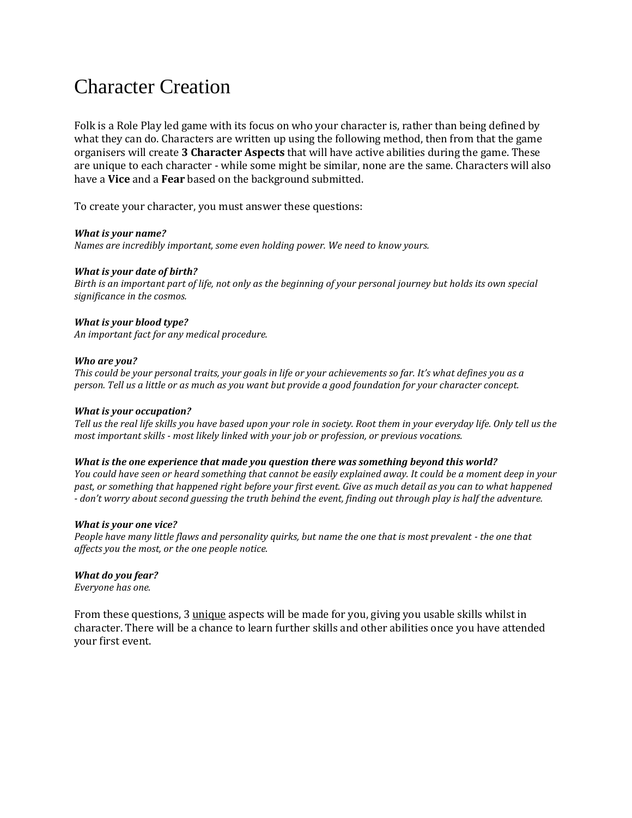# Character Creation

Folk is a Role Play led game with its focus on who your character is, rather than being defined by what they can do. Characters are written up using the following method, then from that the game organisers will create **3 Character Aspects** that will have active abilities during the game. These are unique to each character - while some might be similar, none are the same. Characters will also have a **Vice** and a **Fear** based on the background submitted.

To create your character, you must answer these questions:

### *What is your name?*

*Names are incredibly important, some even holding power. We need to know yours.*

### *What is your date of birth?*

*Birth is an important part of life, not only as the beginning of your personal journey but holds its own special significance in the cosmos.*

### *What is your blood type?*

*An important fact for any medical procedure.*

#### *Who are you?*

*This could be your personal traits, your goals in life or your achievements so far. It's what defines you as a person. Tell us a little or as much as you want but provide a good foundation for your character concept.*

#### *What is your occupation?*

*Tell us the real life skills you have based upon your role in society. Root them in your everyday life. Only tell us the most important skills - most likely linked with your job or profession, or previous vocations.*

#### *What is the one experience that made you question there was something beyond this world?*

*You could have seen or heard something that cannot be easily explained away. It could be a moment deep in your past, or something that happened right before your first event. Give as much detail as you can to what happened - don't worry about second guessing the truth behind the event, finding out through play is half the adventure.*

#### *What is your one vice?*

*People have many little flaws and personality quirks, but name the one that is most prevalent - the one that affects you the most, or the one people notice.*

#### *What do you fear?*

*Everyone has one.*

From these questions, 3 unique aspects will be made for you, giving you usable skills whilst in character. There will be a chance to learn further skills and other abilities once you have attended your first event.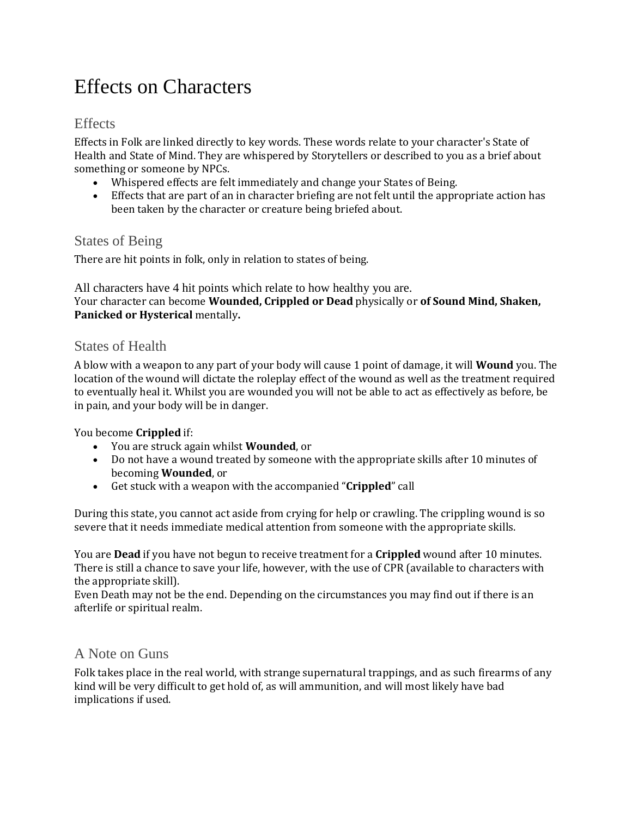# Effects on Characters

## Effects

Effects in Folk are linked directly to key words. These words relate to your character's State of Health and State of Mind. They are whispered by Storytellers or described to you as a brief about something or someone by NPCs.

- Whispered effects are felt immediately and change your States of Being.
- Effects that are part of an in character briefing are not felt until the appropriate action has been taken by the character or creature being briefed about.

## States of Being

There are hit points in folk, only in relation to states of being.

All characters have 4 hit points which relate to how healthy you are. Your character can become **Wounded, Crippled or Dead** physically or **of Sound Mind, Shaken, Panicked or Hysterical** mentally**.**

## States of Health

A blow with a weapon to any part of your body will cause 1 point of damage, it will **Wound** you. The location of the wound will dictate the roleplay effect of the wound as well as the treatment required to eventually heal it. Whilst you are wounded you will not be able to act as effectively as before, be in pain, and your body will be in danger.

### You become **Crippled** if:

- You are struck again whilst **Wounded**, or
- Do not have a wound treated by someone with the appropriate skills after 10 minutes of becoming **Wounded**, or
- Get stuck with a weapon with the accompanied "**Crippled**" call

During this state, you cannot act aside from crying for help or crawling. The crippling wound is so severe that it needs immediate medical attention from someone with the appropriate skills.

You are **Dead** if you have not begun to receive treatment for a **Crippled** wound after 10 minutes. There is still a chance to save your life, however, with the use of CPR (available to characters with the appropriate skill).

Even Death may not be the end. Depending on the circumstances you may find out if there is an afterlife or spiritual realm.

## A Note on Guns

Folk takes place in the real world, with strange supernatural trappings, and as such firearms of any kind will be very difficult to get hold of, as will ammunition, and will most likely have bad implications if used.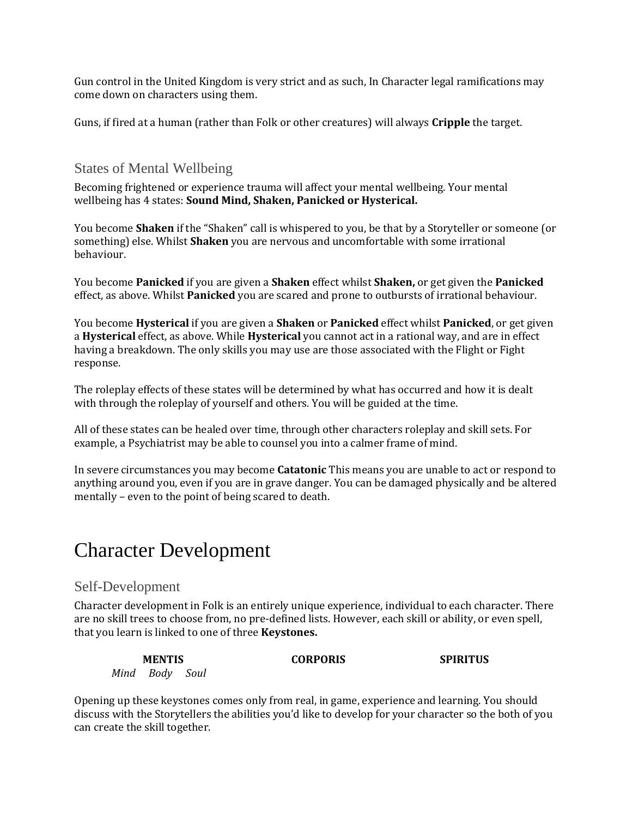Gun control in the United Kingdom is very strict and as such, In Character legal ramifications may come down on characters using them.

Guns, if fired at a human (rather than Folk or other creatures) will always **Cripple** the target.

## States of Mental Wellbeing

Becoming frightened or experience trauma will affect your mental wellbeing. Your mental wellbeing has 4 states: **Sound Mind, Shaken, Panicked or Hysterical.**

You become **Shaken** if the "Shaken" call is whispered to you, be that by a Storyteller or someone (or something) else. Whilst **Shaken** you are nervous and uncomfortable with some irrational behaviour.

You become **Panicked** if you are given a **Shaken** effect whilst **Shaken,** or get given the **Panicked**  effect, as above. Whilst **Panicked** you are scared and prone to outbursts of irrational behaviour.

You become **Hysterical** if you are given a **Shaken** or **Panicked** effect whilst **Panicked**, or get given a **Hysterical** effect, as above. While **Hysterical** you cannot act in a rational way, and are in effect having a breakdown. The only skills you may use are those associated with the Flight or Fight response.

The roleplay effects of these states will be determined by what has occurred and how it is dealt with through the roleplay of yourself and others. You will be guided at the time.

All of these states can be healed over time, through other characters roleplay and skill sets. For example, a Psychiatrist may be able to counsel you into a calmer frame of mind.

In severe circumstances you may become **Catatonic** This means you are unable to act or respond to anything around you, even if you are in grave danger. You can be damaged physically and be altered mentally – even to the point of being scared to death.

# Character Development

## Self-Development

Character development in Folk is an entirely unique experience, individual to each character. There are no skill trees to choose from, no pre-defined lists. However, each skill or ability, or even spell, that you learn is linked to one of three **Keystones.**

| <b>MENTIS</b> |                |  | <b>CORPORIS</b> | <b>SPIRITUS</b> |
|---------------|----------------|--|-----------------|-----------------|
|               | Mind Body Soul |  |                 |                 |

Opening up these keystones comes only from real, in game, experience and learning. You should discuss with the Storytellers the abilities you'd like to develop for your character so the both of you can create the skill together.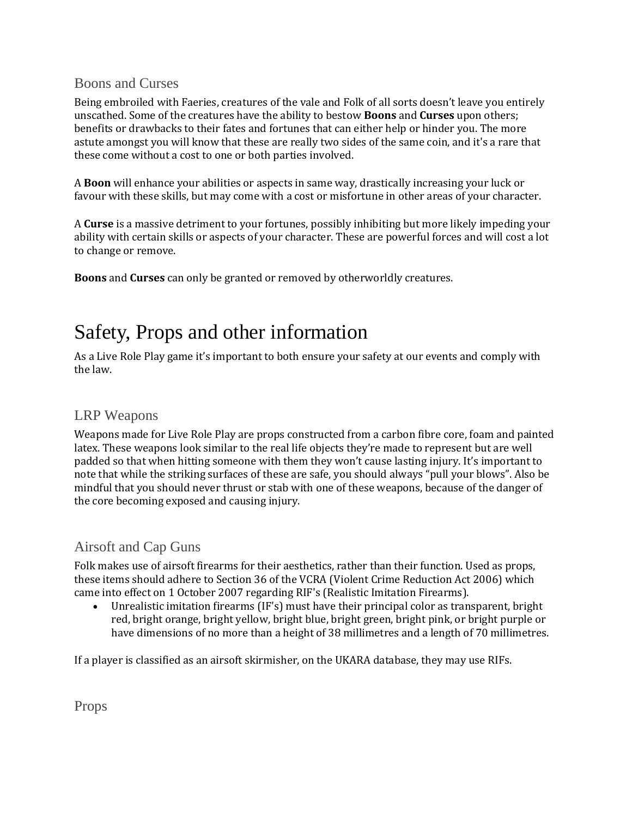## Boons and Curses

Being embroiled with Faeries, creatures of the vale and Folk of all sorts doesn't leave you entirely unscathed. Some of the creatures have the ability to bestow **Boons** and **Curses** upon others; benefits or drawbacks to their fates and fortunes that can either help or hinder you. The more astute amongst you will know that these are really two sides of the same coin, and it's a rare that these come without a cost to one or both parties involved.

A **Boon** will enhance your abilities or aspects in same way, drastically increasing your luck or favour with these skills, but may come with a cost or misfortune in other areas of your character.

A **Curse** is a massive detriment to your fortunes, possibly inhibiting but more likely impeding your ability with certain skills or aspects of your character. These are powerful forces and will cost a lot to change or remove.

**Boons** and **Curses** can only be granted or removed by otherworldly creatures.

# Safety, Props and other information

As a Live Role Play game it's important to both ensure your safety at our events and comply with the law.

# LRP Weapons

Weapons made for Live Role Play are props constructed from a carbon fibre core, foam and painted latex. These weapons look similar to the real life objects they're made to represent but are well padded so that when hitting someone with them they won't cause lasting injury. It's important to note that while the striking surfaces of these are safe, you should always "pull your blows". Also be mindful that you should never thrust or stab with one of these weapons, because of the danger of the core becoming exposed and causing injury.

# Airsoft and Cap Guns

Folk makes use of airsoft firearms for their aesthetics, rather than their function. Used as props, these items should adhere to Section 36 of the VCRA (Violent Crime Reduction Act 2006) which came into effect on 1 October 2007 regarding RIF's (Realistic Imitation Firearms).

• Unrealistic imitation firearms (IF's) must have their principal color as transparent, bright red, bright orange, bright yellow, bright blue, bright green, bright pink, or bright purple or have dimensions of no more than a height of 38 millimetres and a length of 70 millimetres.

If a player is classified as an airsoft skirmisher, on the UKARA database, they may use RIFs.

Props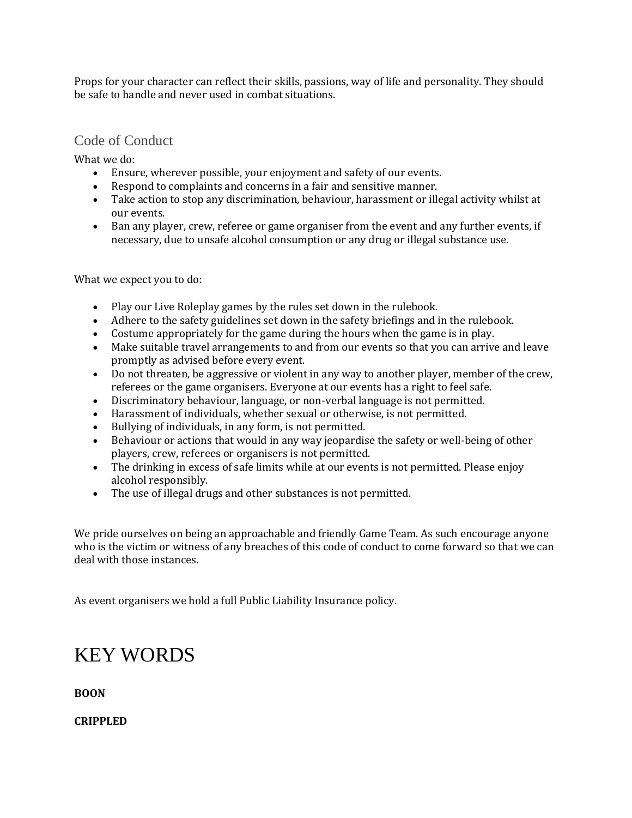Props for your character can reflect their skills, passions, way of life and personality. They should be safe to handle and never used in combat situations.

# Code of Conduct

What we do:

- Ensure, wherever possible, your enjoyment and safety of our events.
- Respond to complaints and concerns in a fair and sensitive manner.
- Take action to stop any discrimination, behaviour, harassment or illegal activity whilst at our events.
- Ban any player, crew, referee or game organiser from the event and any further events, if necessary, due to unsafe alcohol consumption or any drug or illegal substance use.

What we expect you to do:

- Play our Live Roleplay games by the rules set down in the rulebook.
- Adhere to the safety guidelines set down in the safety briefings and in the rulebook.
- Costume appropriately for the game during the hours when the game is in play.
- Make suitable travel arrangements to and from our events so that you can arrive and leave promptly as advised before every event.
- Do not threaten, be aggressive or violent in any way to another player, member of the crew, referees or the game organisers. Everyone at our events has a right to feel safe.
- Discriminatory behaviour, language, or non-verbal language is not permitted.
- Harassment of individuals, whether sexual or otherwise, is not permitted.
- Bullying of individuals, in any form, is not permitted.
- Behaviour or actions that would in any way jeopardise the safety or well-being of other players, crew, referees or organisers is not permitted.
- The drinking in excess of safe limits while at our events is not permitted. Please enjoy alcohol responsibly.
- The use of illegal drugs and other substances is not permitted.

We pride ourselves on being an approachable and friendly Game Team. As such encourage anyone who is the victim or witness of any breaches of this code of conduct to come forward so that we can deal with those instances.

As event organisers we hold a full Public Liability Insurance policy.

# KEY WORDS

**BOON**

**CRIPPLED**